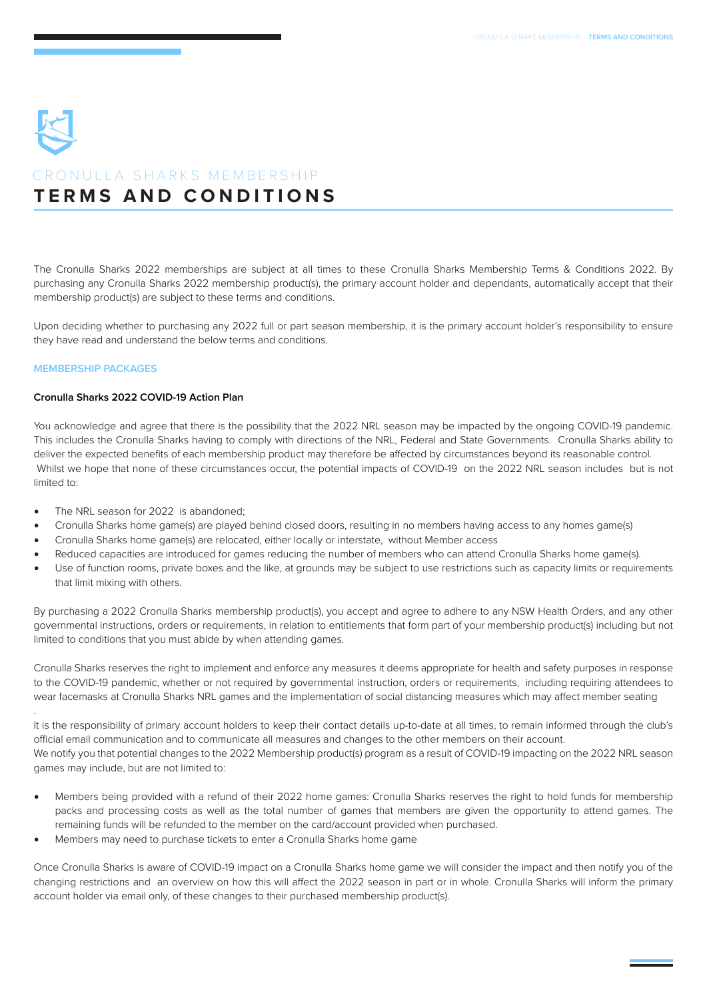# **TERMS AND CONDITIONS** CRONULLA SHARKS MEMBERSHIP

The Cronulla Sharks 2022 memberships are subject at all times to these Cronulla Sharks Membership Terms & Conditions 2022. By purchasing any Cronulla Sharks 2022 membership product(s), the primary account holder and dependants, automatically accept that their membership product(s) are subject to these terms and conditions.

Upon deciding whether to purchasing any 2022 full or part season membership, it is the primary account holder's responsibility to ensure they have read and understand the below terms and conditions.

# **MEMBERSHIP PACKAGES**

.

# **Cronulla Sharks 2022 COVID-19 Action Plan**

You acknowledge and agree that there is the possibility that the 2022 NRL season may be impacted by the ongoing COVID-19 pandemic. This includes the Cronulla Sharks having to comply with directions of the NRL, Federal and State Governments. Cronulla Sharks ability to deliver the expected benefits of each membership product may therefore be affected by circumstances beyond its reasonable control. Whilst we hope that none of these circumstances occur, the potential impacts of COVID-19 on the 2022 NRL season includes but is not limited to:

- The NRL season for 2022 is abandoned:
- Cronulla Sharks home game(s) are played behind closed doors, resulting in no members having access to any homes game(s)
- Cronulla Sharks home game(s) are relocated, either locally or interstate, without Member access
- Reduced capacities are introduced for games reducing the number of members who can attend Cronulla Sharks home game(s).
- Use of function rooms, private boxes and the like, at grounds may be subject to use restrictions such as capacity limits or requirements that limit mixing with others.

By purchasing a 2022 Cronulla Sharks membership product(s), you accept and agree to adhere to any NSW Health Orders, and any other governmental instructions, orders or requirements, in relation to entitlements that form part of your membership product(s) including but not limited to conditions that you must abide by when attending games.

Cronulla Sharks reserves the right to implement and enforce any measures it deems appropriate for health and safety purposes in response to the COVID-19 pandemic, whether or not required by governmental instruction, orders or requirements, including requiring attendees to wear facemasks at Cronulla Sharks NRL games and the implementation of social distancing measures which may affect member seating

It is the responsibility of primary account holders to keep their contact details up-to-date at all times, to remain informed through the club's official email communication and to communicate all measures and changes to the other members on their account. We notify you that potential changes to the 2022 Membership product(s) program as a result of COVID-19 impacting on the 2022 NRL season games may include, but are not limited to:

- Members being provided with a refund of their 2022 home games: Cronulla Sharks reserves the right to hold funds for membership packs and processing costs as well as the total number of games that members are given the opportunity to attend games. The remaining funds will be refunded to the member on the card/account provided when purchased.
- Members may need to purchase tickets to enter a Cronulla Sharks home game

Once Cronulla Sharks is aware of COVID-19 impact on a Cronulla Sharks home game we will consider the impact and then notify you of the changing restrictions and an overview on how this will affect the 2022 season in part or in whole. Cronulla Sharks will inform the primary account holder via email only, of these changes to their purchased membership product(s).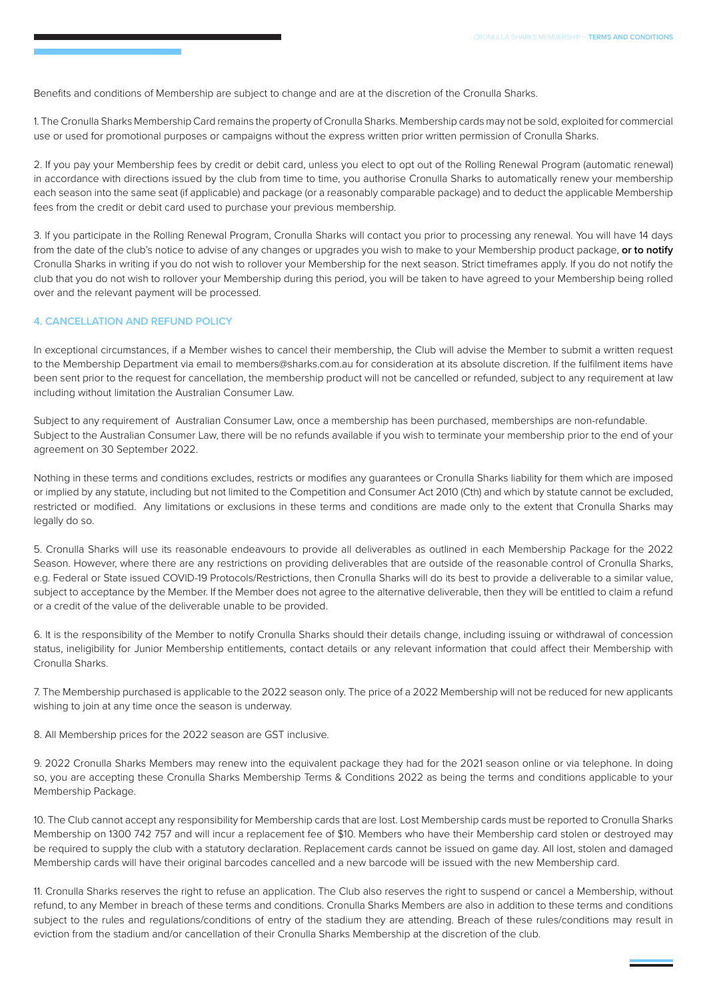Benefits and conditions of Membership are subject to change and are at the discretion of the Cronulla Sharks.

1. The Cronulla Sharks Membership Card remains the property of Cronulla Sharks. Membership cards may not be sold, exploited for commercial use or used for promotional purposes or campaigns without the express written prior written permission of Cronulla Sharks.

2. If you pay your Membership fees by credit or debit card, unless you elect to opt out of the Rolling Renewal Program (automatic renewal) in accordance with directions issued by the club from time to time, you authorise Cronulla Sharks to automatically renew your membership each season into the same seat (if applicable) and package (or a reasonably comparable package) and to deduct the applicable Membership fees from the credit or debit card used to purchase your previous membership.

3. If you participate in the Rolling Renewal Program, Cronulla Sharks will contact you prior to processing any renewal. You will have 14 days from the date of the club's notice to advise of any changes or upgrades you wish to make to your Membership product package, **or to notify**  Cronulla Sharks in writing if you do not wish to rollover your Membership for the next season. Strict timeframes apply. If you do not notify the club that you do not wish to rollover your Membership during this period, you will be taken to have agreed to your Membership being rolled over and the relevant payment will be processed.

## **4. CANCELLATION AND REFUND POLICY**

In exceptional circumstances, if a Member wishes to cancel their membership, the Club will advise the Member to submit a written request to the Membership Department via email to members@sharks.com.au for consideration at its absolute discretion. If the fulfilment items have been sent prior to the request for cancellation, the membership product will not be cancelled or refunded, subject to any requirement at law including without limitation the Australian Consumer Law.

Subject to any requirement of Australian Consumer Law, once a membership has been purchased, memberships are non-refundable. Subject to the Australian Consumer Law, there will be no refunds available if you wish to terminate your membership prior to the end of your agreement on 30 September 2022.

Nothing in these terms and conditions excludes, restricts or modifies any guarantees or Cronulla Sharks liability for them which are imposed or implied by any statute, including but not limited to the Competition and Consumer Act 2010 (Cth) and which by statute cannot be excluded, restricted or modified. Any limitations or exclusions in these terms and conditions are made only to the extent that Cronulla Sharks may legally do so.

5. Cronulla Sharks will use its reasonable endeavours to provide all deliverables as outlined in each Membership Package for the 2022 Season. However, where there are any restrictions on providing deliverables that are outside of the reasonable control of Cronulla Sharks, e.g. Federal or State issued COVID-19 Protocols/Restrictions, then Cronulla Sharks will do its best to provide a deliverable to a similar value, subject to acceptance by the Member. If the Member does not agree to the alternative deliverable, then they will be entitled to claim a refund or a credit of the value of the deliverable unable to be provided.

6. It is the responsibility of the Member to notify Cronulla Sharks should their details change, including issuing or withdrawal of concession status, ineligibility for Junior Membership entitlements, contact details or any relevant information that could affect their Membership with Cronulla Sharks.

7. The Membership purchased is applicable to the 2022 season only. The price of a 2022 Membership will not be reduced for new applicants wishing to join at any time once the season is underway.

8. All Membership prices for the 2022 season are GST inclusive.

9. 2022 Cronulla Sharks Members may renew into the equivalent package they had for the 2021 season online or via telephone. In doing so, you are accepting these Cronulla Sharks Membership Terms & Conditions 2022 as being the terms and conditions applicable to your Membership Package.

10. The Club cannot accept any responsibility for Membership cards that are lost. Lost Membership cards must be reported to Cronulla Sharks Membership on 1300 742 757 and will incur a replacement fee of \$10. Members who have their Membership card stolen or destroyed may be required to supply the club with a statutory declaration. Replacement cards cannot be issued on game day. All lost, stolen and damaged Membership cards will have their original barcodes cancelled and a new barcode will be issued with the new Membership card.

11. Cronulla Sharks reserves the right to refuse an application. The Club also reserves the right to suspend or cancel a Membership, without refund, to any Member in breach of these terms and conditions. Cronulla Sharks Members are also in addition to these terms and conditions subject to the rules and regulations/conditions of entry of the stadium they are attending. Breach of these rules/conditions may result in eviction from the stadium and/or cancellation of their Cronulla Sharks Membership at the discretion of the club.